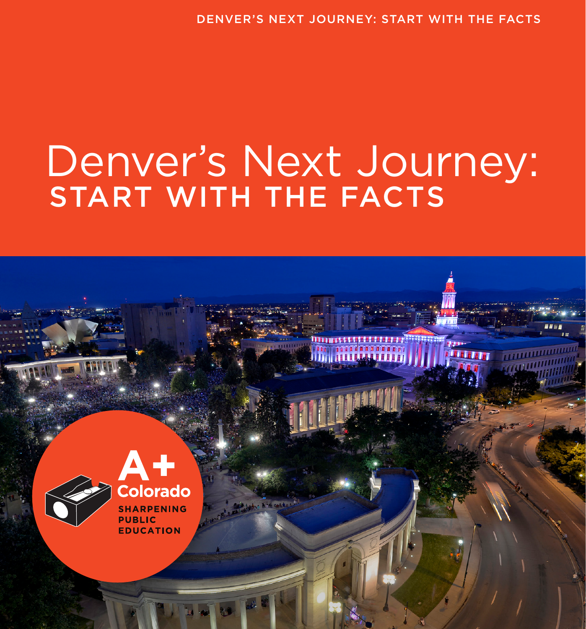# Denver's Next Journey: START WITH THE FACTS

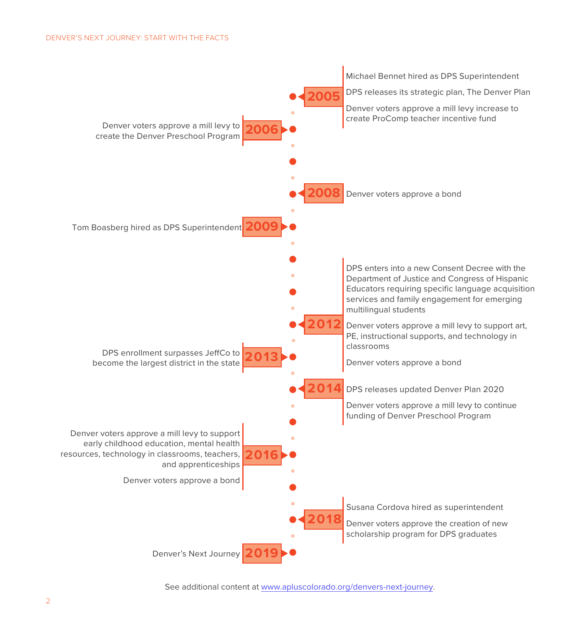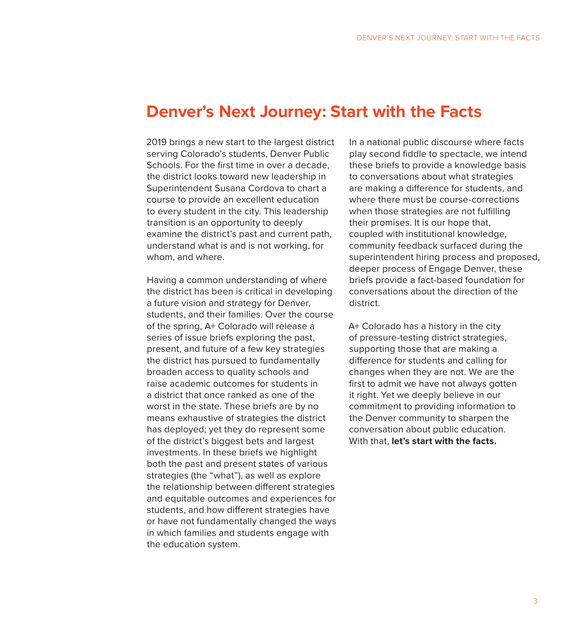### **Denver's Next Journey: Start with the Facts**

2019 brings a new start to the largest district serving Colorado's students, Denver Public Schools. For the first time in over a decade, the district looks toward new leadership in Superintendent Susana Cordova to chart a course to provide an excellent education to every student in the city. This leadership transition is an opportunity to deeply examine the district's past and current path, understand what is and is not working, for whom, and where.

Having a common understanding of where the district has been is critical in developing a future vision and strategy for Denver, students, and their families. Over the course of the spring, A+ Colorado will release a series of issue briefs exploring the past, present, and future of a few key strategies the district has pursued to fundamentally broaden access to quality schools and raise academic outcomes for students in a district that once ranked as one of the worst in the state. These briefs are by no means exhaustive of strategies the district has deployed; yet they do represent some of the district's biggest bets and largest investments. In these briefs we highlight both the past and present states of various strategies (the "what"), as well as explore the relationship between different strategies and equitable outcomes and experiences for students, and how different strategies have or have not fundamentally changed the ways in which families and students engage with the education system.

In a national public discourse where facts play second fiddle to spectacle, we intend these briefs to provide a knowledge basis to conversations about what strategies are making a difference for students, and where there must be course-corrections when those strategies are not fulfilling their promises. It is our hope that, coupled with institutional knowledge, community feedback surfaced during the superintendent hiring process and proposed, deeper process of Engage Denver, these briefs provide a fact-based foundation for conversations about the direction of the district.

A+ Colorado has a history in the city of pressure-testing district strategies, supporting those that are making a difference for students and calling for changes when they are not. We are the first to admit we have not always gotten it right. Yet we deeply believe in our commitment to providing information to the Denver community to sharpen the conversation about public education. With that, **let's start with the facts.**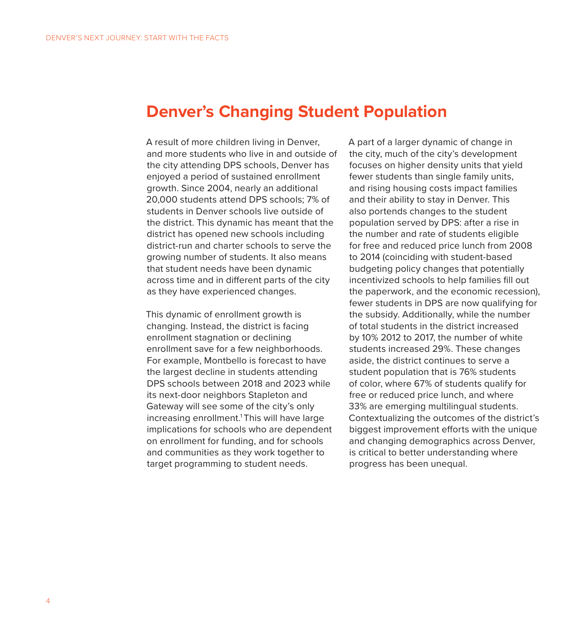### **Denver's Changing Student Population**

A result of more children living in Denver, and more students who live in and outside of the city attending DPS schools, Denver has enjoyed a period of sustained enrollment growth. Since 2004, nearly an additional 20,000 students attend DPS schools; 7% of students in Denver schools live outside of the district. This dynamic has meant that the district has opened new schools including district-run and charter schools to serve the growing number of students. It also means that student needs have been dynamic across time and in different parts of the city as they have experienced changes.

This dynamic of enrollment growth is changing. Instead, the district is facing enrollment stagnation or declining enrollment save for a few neighborhoods. For example, Montbello is forecast to have the largest decline in students attending DPS schools between 2018 and 2023 while its next-door neighbors Stapleton and Gateway will see some of the city's only increasing enrollment.<sup>1</sup> This will have large implications for schools who are dependent on enrollment for funding, and for schools and communities as they work together to target programming to student needs.

A part of a larger dynamic of change in the city, much of the city's development focuses on higher density units that yield fewer students than single family units, and rising housing costs impact families and their ability to stay in Denver. This also portends changes to the student population served by DPS: after a rise in the number and rate of students eligible for free and reduced price lunch from 2008 to 2014 (coinciding with student-based budgeting policy changes that potentially incentivized schools to help families fill out the paperwork, and the economic recession), fewer students in DPS are now qualifying for the subsidy. Additionally, while the number of total students in the district increased by 10% 2012 to 2017, the number of white students increased 29%. These changes aside, the district continues to serve a student population that is 76% students of color, where 67% of students qualify for free or reduced price lunch, and where 33% are emerging multilingual students. Contextualizing the outcomes of the district's biggest improvement efforts with the unique and changing demographics across Denver, is critical to better understanding where progress has been unequal.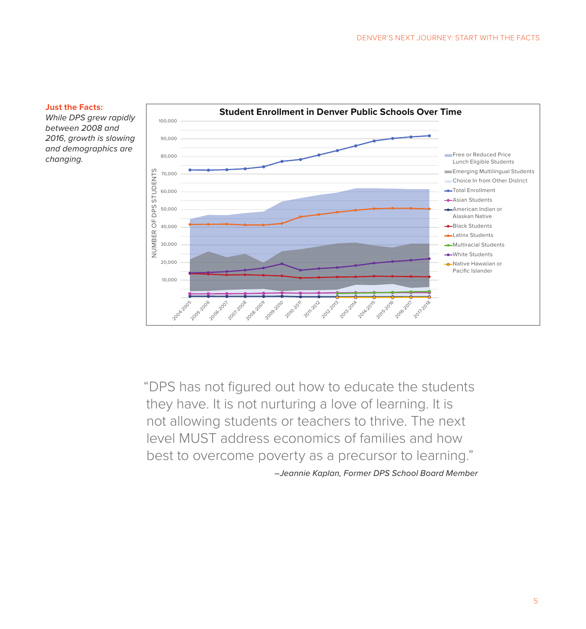#### **Just the Facts:**

*While DPS grew rapidly between 2008 and 2016, growth is slowing and demographics are changing.*



"DPS has not figured out how to educate the students they have. It is not nurturing a love of learning. It is not allowing students or teachers to thrive. The next level MUST address economics of families and how best to overcome poverty as a precursor to learning." *–Jeannie Kaplan, Former DPS School Board Member*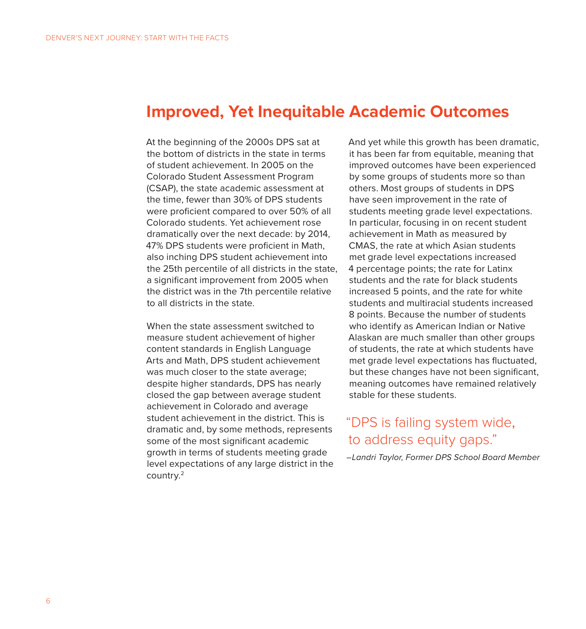### **Improved, Yet Inequitable Academic Outcomes**

At the beginning of the 2000s DPS sat at the bottom of districts in the state in terms of student achievement. In 2005 on the Colorado Student Assessment Program (CSAP), the state academic assessment at the time, fewer than 30% of DPS students were proficient compared to over 50% of all Colorado students. Yet achievement rose dramatically over the next decade: by 2014, 47% DPS students were proficient in Math, also inching DPS student achievement into the 25th percentile of all districts in the state, a significant improvement from 2005 when the district was in the 7th percentile relative to all districts in the state.

When the state assessment switched to measure student achievement of higher content standards in English Language Arts and Math, DPS student achievement was much closer to the state average; despite higher standards, DPS has nearly closed the gap between average student achievement in Colorado and average student achievement in the district. This is dramatic and, by some methods, represents some of the most significant academic growth in terms of students meeting grade level expectations of any large district in the country.2

And yet while this growth has been dramatic, it has been far from equitable, meaning that improved outcomes have been experienced by some groups of students more so than others. Most groups of students in DPS have seen improvement in the rate of students meeting grade level expectations. In particular, focusing in on recent student achievement in Math as measured by CMAS, the rate at which Asian students met grade level expectations increased 4 percentage points; the rate for Latinx students and the rate for black students increased 5 points, and the rate for white students and multiracial students increased 8 points. Because the number of students who identify as American Indian or Native Alaskan are much smaller than other groups of students, the rate at which students have met grade level expectations has fluctuated, but these changes have not been significant, meaning outcomes have remained relatively stable for these students.

### "DPS is failing system wide, to address equity gaps."

*–Landri Taylor, Former DPS School Board Member*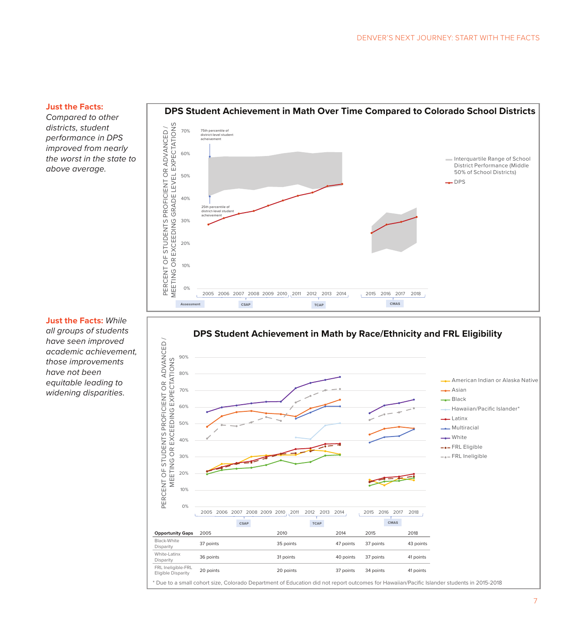#### **Just the Facts:**

*Compared to other districts, student performance in DPS improved from nearly the worst in the state to above average.* 





**Just the Facts:** *While all groups of students have seen improved academic achievement, those improvements have not been equitable leading to widening disparities.*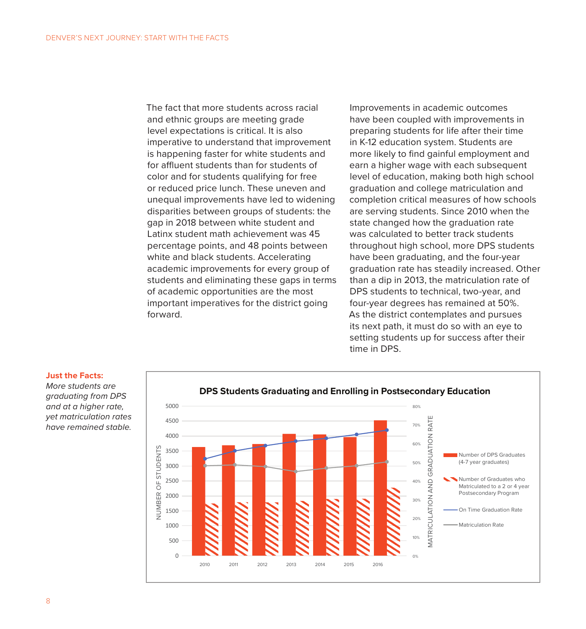The fact that more students across racial and ethnic groups are meeting grade level expectations is critical. It is also imperative to understand that improvement is happening faster for white students and for affluent students than for students of color and for students qualifying for free or reduced price lunch. These uneven and unequal improvements have led to widening disparities between groups of students: the gap in 2018 between white student and Latinx student math achievement was 45 percentage points, and 48 points between white and black students. Accelerating academic improvements for every group of students and eliminating these gaps in terms of academic opportunities are the most important imperatives for the district going forward.

Improvements in academic outcomes have been coupled with improvements in preparing students for life after their time in K-12 education system. Students are more likely to find gainful employment and earn a higher wage with each subsequent level of education, making both high school graduation and college matriculation and completion critical measures of how schools are serving students. Since 2010 when the state changed how the graduation rate was calculated to better track students throughout high school, more DPS students have been graduating, and the four-year graduation rate has steadily increased. Other than a dip in 2013, the matriculation rate of DPS students to technical, two-year, and four-year degrees has remained at 50%. As the district contemplates and pursues its next path, it must do so with an eye to setting students up for success after their time in DPS.



### **Just the Facts:**

*More students are graduating from DPS and at a higher rate, yet matriculation rates have remained stable.*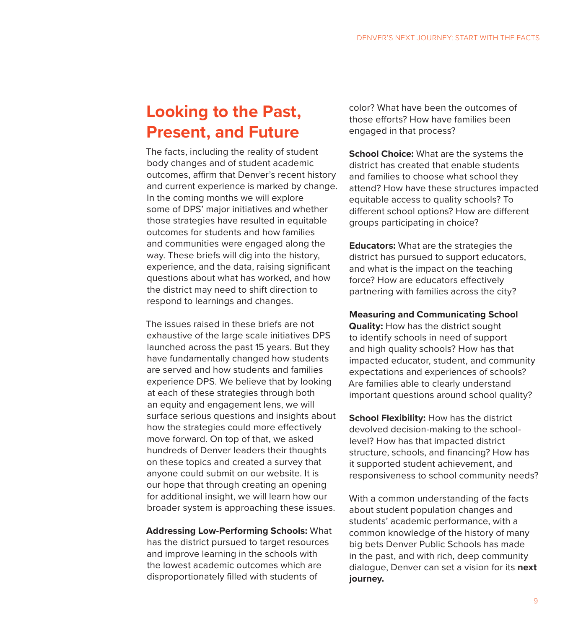# **Looking to the Past, Present, and Future**

The facts, including the reality of student body changes and of student academic outcomes, affirm that Denver's recent history and current experience is marked by change. In the coming months we will explore some of DPS' major initiatives and whether those strategies have resulted in equitable outcomes for students and how families and communities were engaged along the way. These briefs will dig into the history, experience, and the data, raising significant questions about what has worked, and how the district may need to shift direction to respond to learnings and changes.

The issues raised in these briefs are not exhaustive of the large scale initiatives DPS launched across the past 15 years. But they have fundamentally changed how students are served and how students and families experience DPS. We believe that by looking at each of these strategies through both an equity and engagement lens, we will surface serious questions and insights about how the strategies could more effectively move forward. On top of that, we asked hundreds of Denver leaders their thoughts on these topics and created a survey that anyone could submit on our website. It is our hope that through creating an opening for additional insight, we will learn how our broader system is approaching these issues.

**Addressing Low-Performing Schools:** What has the district pursued to target resources and improve learning in the schools with the lowest academic outcomes which are disproportionately filled with students of

color? What have been the outcomes of those efforts? How have families been engaged in that process?

**School Choice:** What are the systems the district has created that enable students and families to choose what school they attend? How have these structures impacted equitable access to quality schools? To different school options? How are different groups participating in choice?

**Educators:** What are the strategies the district has pursued to support educators, and what is the impact on the teaching force? How are educators effectively partnering with families across the city?

**Measuring and Communicating School Quality:** How has the district sought to identify schools in need of support and high quality schools? How has that impacted educator, student, and community expectations and experiences of schools? Are families able to clearly understand important questions around school quality?

**School Flexibility:** How has the district devolved decision-making to the schoollevel? How has that impacted district structure, schools, and financing? How has it supported student achievement, and responsiveness to school community needs?

With a common understanding of the facts about student population changes and students' academic performance, with a common knowledge of the history of many big bets Denver Public Schools has made in the past, and with rich, deep community dialogue, Denver can set a vision for its **next journey.**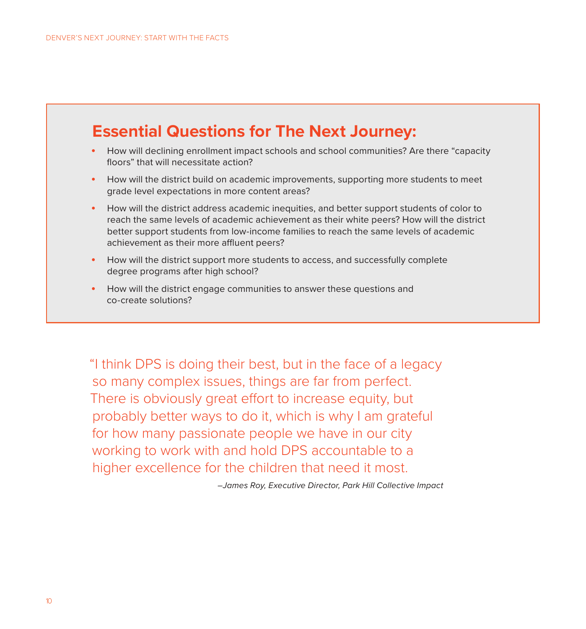## **Essential Questions for The Next Journey:**

- How will declining enrollment impact schools and school communities? Are there "capacity floors" that will necessitate action?
- How will the district build on academic improvements, supporting more students to meet grade level expectations in more content areas?
- How will the district address academic inequities, and better support students of color to reach the same levels of academic achievement as their white peers? How will the district better support students from low-income families to reach the same levels of academic achievement as their more affluent peers?
- How will the district support more students to access, and successfully complete degree programs after high school?
- How will the district engage communities to answer these questions and co-create solutions?

"I think DPS is doing their best, but in the face of a legacy so many complex issues, things are far from perfect. There is obviously great effort to increase equity, but probably better ways to do it, which is why I am grateful for how many passionate people we have in our city working to work with and hold DPS accountable to a higher excellence for the children that need it most.

*–James Roy, Executive Director, Park Hill Collective Impact*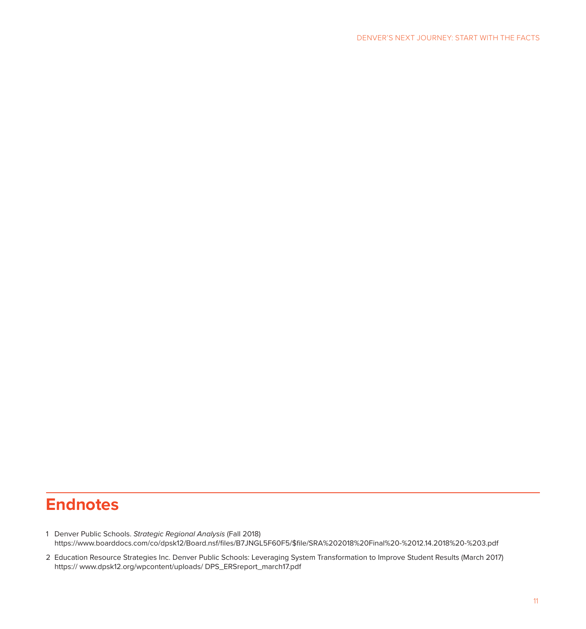### **Endnotes**

- 1 Denver Public Schools. *Strategic Regional Analysis* (Fall 2018) https://www.boarddocs.com/co/dpsk12/Board.nsf/files/B7JNGL5F60F5/\$file/SRA%202018%20Final%20-%2012.14.2018%20-%203.pdf
- 2 Education Resource Strategies Inc. Denver Public Schools: Leveraging System Transformation to Improve Student Results (March 2017) https:// www.dpsk12.org/wpcontent/uploads/ DPS\_ERSreport\_march17.pdf